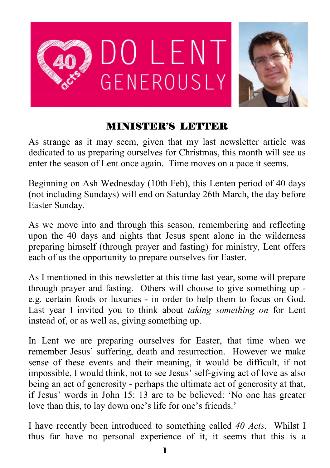

#### MINISTER'S LETTER

As strange as it may seem, given that my last newsletter article was dedicated to us preparing ourselves for Christmas, this month will see us enter the season of Lent once again. Time moves on a pace it seems.

Beginning on Ash Wednesday (10th Feb), this Lenten period of 40 days (not including Sundays) will end on Saturday 26th March, the day before Easter Sunday.

As we move into and through this season, remembering and reflecting upon the 40 days and nights that Jesus spent alone in the wilderness preparing himself (through prayer and fasting) for ministry, Lent offers each of us the opportunity to prepare ourselves for Easter.

As I mentioned in this newsletter at this time last year, some will prepare through prayer and fasting. Others will choose to give something up e.g. certain foods or luxuries - in order to help them to focus on God. Last year I invited you to think about *taking something on* for Lent instead of, or as well as, giving something up.

In Lent we are preparing ourselves for Easter, that time when we remember Jesus' suffering, death and resurrection. However we make sense of these events and their meaning, it would be difficult, if not impossible, I would think, not to see Jesus' self-giving act of love as also being an act of generosity - perhaps the ultimate act of generosity at that, if Jesus' words in John 15: 13 are to be believed: 'No one has greater love than this, to lay down one's life for one's friends.'

I have recently been introduced to something called *40 Acts*. Whilst I thus far have no personal experience of it, it seems that this is a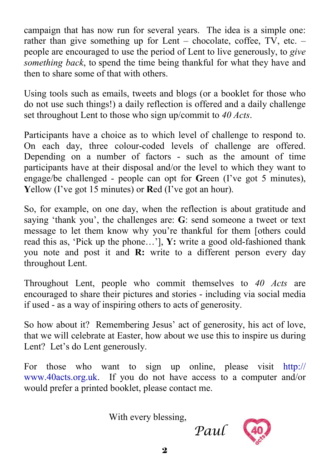campaign that has now run for several years. The idea is a simple one: rather than give something up for Lent – chocolate, coffee, TV, etc. – people are encouraged to use the period of Lent to live generously, to *give something back*, to spend the time being thankful for what they have and then to share some of that with others.

Using tools such as emails, tweets and blogs (or a booklet for those who do not use such things!) a daily reflection is offered and a daily challenge set throughout Lent to those who sign up/commit to *40 Acts*.

Participants have a choice as to which level of challenge to respond to. On each day, three colour-coded levels of challenge are offered. Depending on a number of factors - such as the amount of time participants have at their disposal and/or the level to which they want to engage/be challenged - people can opt for **G**reen (I've got 5 minutes), **Y**ellow (I've got 15 minutes) or **R**ed (I've got an hour).

So, for example, on one day, when the reflection is about gratitude and saying 'thank you', the challenges are: **G**: send someone a tweet or text message to let them know why you're thankful for them [others could read this as, 'Pick up the phone…'], **Y:** write a good old-fashioned thank you note and post it and **R:** write to a different person every day throughout Lent.

Throughout Lent, people who commit themselves to *40 Acts* are encouraged to share their pictures and stories - including via social media if used - as a way of inspiring others to acts of generosity.

So how about it? Remembering Jesus' act of generosity, his act of love, that we will celebrate at Easter, how about we use this to inspire us during Lent? Let's do Lent generously.

For those who want to sign up online, please visit http:// www.40acts.org.uk. If you do not have access to a computer and/or would prefer a printed booklet, please contact me.

With every blessing,

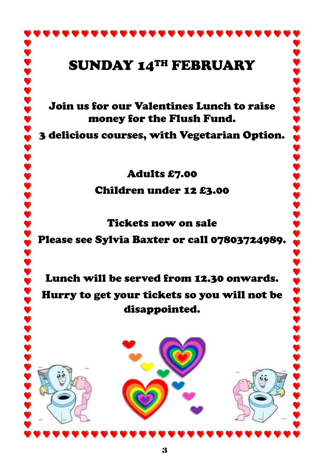## SUNDAY 14TH FEBRUARY

Join us for our Valentines Lunch to raise money for the Flush Fund.

3 delicious courses, with Vegetarian Option.

Adults £7.00

Children under 12 £3.00

Tickets now on sale

Please see Sylvia Baxter or call 07803724989.

Lunch will be served from 12.30 onwards. Hurry to get your tickets so you will not be disappointed.

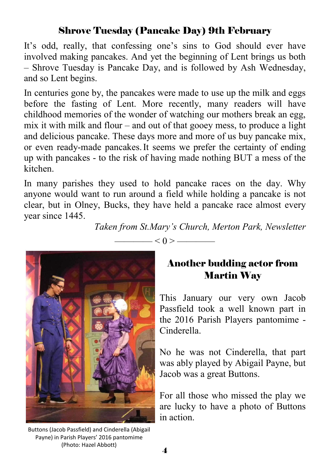#### Shrove Tuesday (Pancake Day) 9th February

It's odd, really, that confessing one's sins to God should ever have involved making pancakes. And yet the beginning of Lent brings us both – Shrove Tuesday is Pancake Day, and is followed by Ash Wednesday, and so Lent begins.

In centuries gone by, the pancakes were made to use up the milk and eggs before the fasting of Lent. More recently, many readers will have childhood memories of the wonder of watching our mothers break an egg, mix it with milk and flour – and out of that gooey mess, to produce a light and delicious pancake. These days more and more of us buy pancake mix, or even ready-made pancakes.It seems we prefer the certainty of ending up with pancakes - to the risk of having made nothing BUT a mess of the kitchen.

In many parishes they used to hold pancake races on the day. Why anyone would want to run around a field while holding a pancake is not clear, but in Olney, Bucks, they have held a pancake race almost every year since 1445.

*Taken from St.Mary's Church, Merton Park, Newsletter*

 $< 0 > \fbox{---}$ 



Buttons (Jacob Passfield) and Cinderella (Abigail Payne) in Parish Players' 2016 pantomime (Photo: Hazel Abbott)

#### Another budding actor from Martin Way

This January our very own Jacob Passfield took a well known part in the 2016 Parish Players pantomime - Cinderella.

No he was not Cinderella, that part was ably played by Abigail Payne, but Jacob was a great Buttons.

For all those who missed the play we are lucky to have a photo of Buttons in action.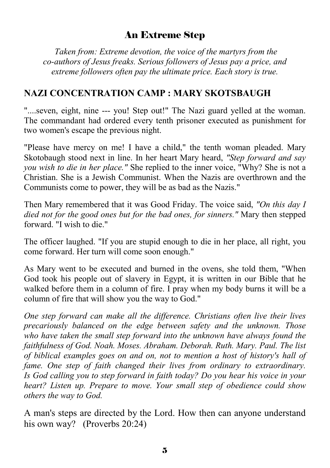#### An Extreme Step

 *Taken from: Extreme devotion, the voice of the martyrs from the co-authors of Jesus freaks. Serious followers of Jesus pay a price, and extreme followers often pay the ultimate price. Each story is true.*

#### **NAZI CONCENTRATION CAMP : MARY SKOTSBAUGH**

"....seven, eight, nine --- you! Step out!" The Nazi guard yelled at the woman. The commandant had ordered every tenth prisoner executed as punishment for two women's escape the previous night.

"Please have mercy on me! I have a child," the tenth woman pleaded. Mary Skotobaugh stood next in line. In her heart Mary heard, *"Step forward and say you wish to die in her place."* She replied to the inner voice, "Why? She is not a Christian. She is a Jewish Communist. When the Nazis are overthrown and the Communists come to power, they will be as bad as the Nazis."

Then Mary remembered that it was Good Friday. The voice said, *"On this day I died not for the good ones but for the bad ones, for sinners."* Mary then stepped forward. "I wish to die."

The officer laughed. "If you are stupid enough to die in her place, all right, you come forward. Her turn will come soon enough."

As Mary went to be executed and burned in the ovens, she told them, "When God took his people out of slavery in Egypt, it is written in our Bible that he walked before them in a column of fire. I pray when my body burns it will be a column of fire that will show you the way to God."

*One step forward can make all the difference. Christians often live their lives precariously balanced on the edge between safety and the unknown. Those who have taken the small step forward into the unknown have always found the faithfulness of God. Noah. Moses. Abraham. Deborah. Ruth. Mary. Paul. The list of biblical examples goes on and on, not to mention a host of history's hall of fame. One step of faith changed their lives from ordinary to extraordinary. Is God calling you to step forward in faith today? Do you hear his voice in your heart? Listen up. Prepare to move. Your small step of obedience could show others the way to God.*

A man's steps are directed by the Lord. How then can anyone understand his own way? (Proverbs 20:24)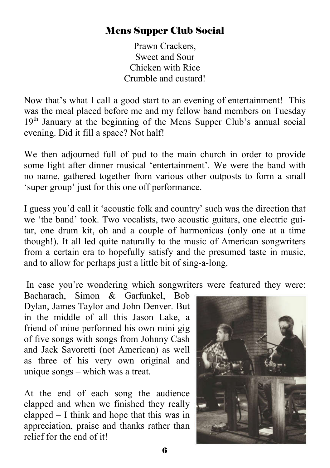#### Mens Supper Club Social

Prawn Crackers, Sweet and Sour Chicken with Rice Crumble and custard!

Now that's what I call a good start to an evening of entertainment! This was the meal placed before me and my fellow band members on Tuesday 19<sup>th</sup> January at the beginning of the Mens Supper Club's annual social evening. Did it fill a space? Not half!

We then adjourned full of pud to the main church in order to provide some light after dinner musical 'entertainment'. We were the band with no name, gathered together from various other outposts to form a small 'super group' just for this one off performance.

I guess you'd call it 'acoustic folk and country' such was the direction that we 'the band' took. Two vocalists, two acoustic guitars, one electric guitar, one drum kit, oh and a couple of harmonicas (only one at a time though!). It all led quite naturally to the music of American songwriters from a certain era to hopefully satisfy and the presumed taste in music, and to allow for perhaps just a little bit of sing-a-long.

In case you're wondering which songwriters were featured they were:

Bacharach, Simon & Garfunkel, Bob Dylan, James Taylor and John Denver. But in the middle of all this Jason Lake, a friend of mine performed his own mini gig of five songs with songs from Johnny Cash and Jack Savoretti (not American) as well as three of his very own original and unique songs – which was a treat.

At the end of each song the audience clapped and when we finished they really clapped – I think and hope that this was in appreciation, praise and thanks rather than relief for the end of it!

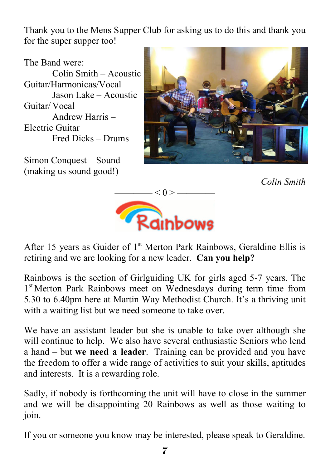Thank you to the Mens Supper Club for asking us to do this and thank you for the super supper too!

The Band were:

Colin Smith – Acoustic Guitar/Harmonicas/Vocal Jason Lake – Acoustic Guitar/ Vocal Andrew Harris – Electric Guitar Fred Dicks – Drums

Simon Conquest – Sound (making us sound good!)



*Colin Smith* 



After 15 years as Guider of  $1<sup>st</sup>$  Merton Park Rainbows, Geraldine Ellis is retiring and we are looking for a new leader. **Can you help?**

Rainbows is the section of Girlguiding UK for girls aged 5-7 years. The 1<sup>st</sup> Merton Park Rainbows meet on Wednesdays during term time from 5.30 to 6.40pm here at Martin Way Methodist Church. It's a thriving unit with a waiting list but we need someone to take over.

We have an assistant leader but she is unable to take over although she will continue to help. We also have several enthusiastic Seniors who lend a hand – but **we need a leader**. Training can be provided and you have the freedom to offer a wide range of activities to suit your skills, aptitudes and interests. It is a rewarding role.

Sadly, if nobody is forthcoming the unit will have to close in the summer and we will be disappointing 20 Rainbows as well as those waiting to join.

If you or someone you know may be interested, please speak to Geraldine.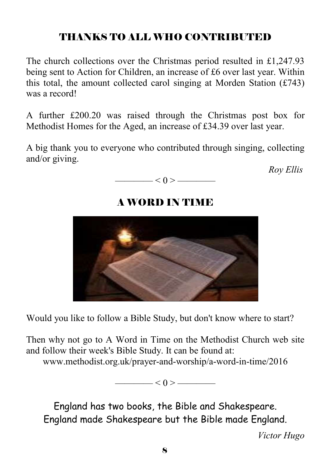### THANKS TO ALL WHO CONTRIBUTED

The church collections over the Christmas period resulted in £1,247.93 being sent to Action for Children, an increase of £6 over last year. Within this total, the amount collected carol singing at Morden Station  $(f743)$ was a record!

A further £200.20 was raised through the Christmas post box for Methodist Homes for the Aged, an increase of £34.39 over last year.

A big thank you to everyone who contributed through singing, collecting and/or giving.

*Roy Ellis*



### A WORD IN TIME



Would you like to follow a Bible Study, but don't know where to start?

Then why not go to A Word in Time on the Methodist Church web site and follow their week's Bible Study. It can be found at:

www.methodist.org.uk/prayer-and-worship/a-word-in-time/2016

 $< 0 >$  ——————

England has two books, the Bible and Shakespeare. England made Shakespeare but the Bible made England.

*Victor Hugo*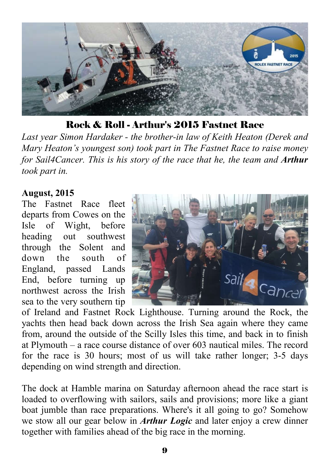

Rock & Roll - Arthur's 2015 Fastnet Race

*Last year Simon Hardaker - the brother-in law of Keith Heaton (Derek and Mary Heaton's youngest son) took part in The Fastnet Race to raise money for Sail4Cancer. This is his story of the race that he, the team and Arthur took part in.*

#### **August, 2015**

The Fastnet Race fleet departs from Cowes on the Isle of Wight, before heading out southwest through the Solent and down the south of England passed Lands End, before turning up northwest across the Irish sea to the very southern tip



of Ireland and Fastnet Rock Lighthouse. Turning around the Rock, the yachts then head back down across the Irish Sea again where they came from, around the outside of the Scilly Isles this time, and back in to finish at Plymouth – a race course distance of over 603 nautical miles. The record for the race is 30 hours; most of us will take rather longer; 3-5 days depending on wind strength and direction.

The dock at Hamble marina on Saturday afternoon ahead the race start is loaded to overflowing with sailors, sails and provisions; more like a giant boat jumble than race preparations. Where's it all going to go? Somehow we stow all our gear below in *Arthur Logic* and later enjoy a crew dinner together with families ahead of the big race in the morning.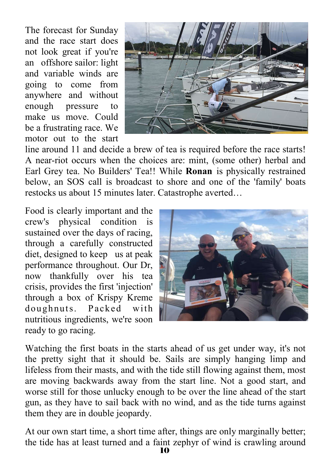The forecast for Sunday and the race start does not look great if you're an offshore sailor: light and variable winds are going to come from anywhere and without enough pressure to make us move. Could be a frustrating race. We motor out to the start



line around 11 and decide a brew of tea is required before the race starts! A near-riot occurs when the choices are: mint, (some other) herbal and Earl Grey tea. No Builders' Tea!! While **Ronan** is physically restrained below, an SOS call is broadcast to shore and one of the 'family' boats restocks us about 15 minutes later. Catastrophe averted…

Food is clearly important and the crew's physical condition is sustained over the days of racing, through a carefully constructed diet, designed to keep us at peak performance throughout. Our Dr, now thankfully over his tea crisis, provides the first 'injection' through a box of Krispy Kreme doughnuts. Packed with nutritious ingredients, we're soon ready to go racing.



Watching the first boats in the starts ahead of us get under way, it's not the pretty sight that it should be. Sails are simply hanging limp and lifeless from their masts, and with the tide still flowing against them, most are moving backwards away from the start line. Not a good start, and worse still for those unlucky enough to be over the line ahead of the start gun, as they have to sail back with no wind, and as the tide turns against them they are in double jeopardy.

At our own start time, a short time after, things are only marginally better; the tide has at least turned and a faint zephyr of wind is crawling around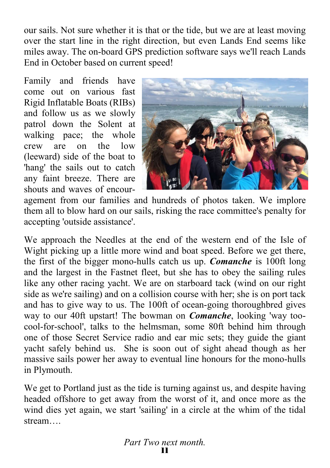our sails. Not sure whether it is that or the tide, but we are at least moving over the start line in the right direction, but even Lands End seems like miles away. The on-board GPS prediction software says we'll reach Lands End in October based on current speed!

Family and friends have come out on various fast Rigid Inflatable Boats (RIBs) and follow us as we slowly patrol down the Solent at walking pace; the whole crew are on the low (leeward) side of the boat to 'hang' the sails out to catch any faint breeze. There are shouts and waves of encour-



agement from our families and hundreds of photos taken. We implore them all to blow hard on our sails, risking the race committee's penalty for accepting 'outside assistance'.

We approach the Needles at the end of the western end of the Isle of Wight picking up a little more wind and boat speed. Before we get there, the first of the bigger mono-hulls catch us up. *Comanche* is 100ft long and the largest in the Fastnet fleet, but she has to obey the sailing rules like any other racing yacht. We are on starboard tack (wind on our right side as we're sailing) and on a collision course with her; she is on port tack and has to give way to us. The 100ft of ocean-going thoroughbred gives way to our 40ft upstart! The bowman on *Comanche*, looking 'way toocool-for-school', talks to the helmsman, some 80ft behind him through one of those Secret Service radio and ear mic sets; they guide the giant yacht safely behind us. She is soon out of sight ahead though as her massive sails power her away to eventual line honours for the mono-hulls in Plymouth.

We get to Portland just as the tide is turning against us, and despite having headed offshore to get away from the worst of it, and once more as the wind dies yet again, we start 'sailing' in a circle at the whim of the tidal stream….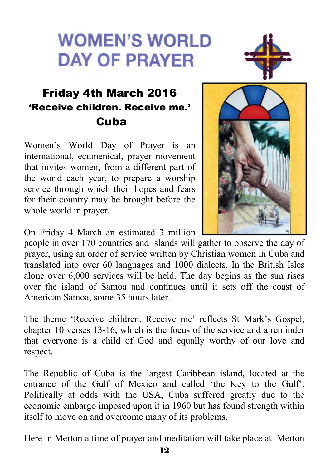# **WOMEN'S WORLD DAY OF PRAYER**



## Friday 4th March 2016 'Receive children. Receive me.' Cuba

Women's World Day of Prayer is an international, ecumenical, prayer movement that invites women, from a different part of the world each year, to prepare a worship service through which their hopes and fears for their country may be brought before the whole world in prayer.



On Friday 4 March an estimated 3 million

people in over 170 countries and islands will gather to observe the day of prayer, using an order of service written by Christian women in Cuba and translated into over 60 languages and 1000 dialects. In the British Isles alone over 6,000 services will be held. The day begins as the sun rises over the island of Samoa and continues until it sets off the coast of American Samoa, some 35 hours later.

The theme 'Receive children. Receive me' reflects St Mark's Gospel, chapter 10 verses 13-16, which is the focus of the service and a reminder that everyone is a child of God and equally worthy of our love and respect.

The Republic of Cuba is the largest Caribbean island, located at the entrance of the Gulf of Mexico and called 'the Key to the Gulf'. Politically at odds with the USA, Cuba suffered greatly due to the economic embargo imposed upon it in 1960 but has found strength within itself to move on and overcome many of its problems.

Here in Merton a time of prayer and meditation will take place at Merton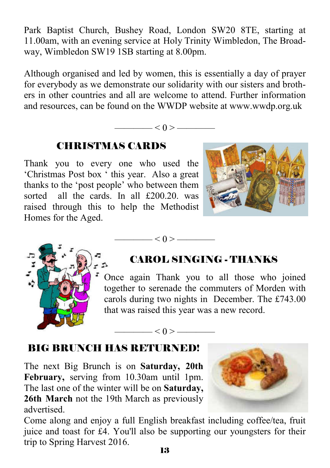Park Baptist Church, Bushey Road, London SW20 8TE, starting at 11.00am, with an evening service at Holy Trinity Wimbledon, The Broadway, Wimbledon SW19 1SB starting at 8.00pm.

Although organised and led by women, this is essentially a day of prayer for everybody as we demonstrate our solidarity with our sisters and brothers in other countries and all are welcome to attend. Further information and resources, can be found on the WWDP website at www.wwdp.org.uk

 $\left| \alpha \right| < 0 >$ 

 $<$  0 > —

———— < 0 > ————

### CHRISTMAS CARDS

Thank you to every one who used the 'Christmas Post box ' this year. Also a great thanks to the 'post people' who between them sorted all the cards. In all £200.20, was raised through this to help the Methodist Homes for the Aged.





### CAROL SINGING - THANKS

Once again Thank you to all those who joined together to serenade the commuters of Morden with carols during two nights in December. The £743.00 that was raised this year was a new record.

#### BIG BRUNCH HAS RETURNED!

The next Big Brunch is on **Saturday, 20th February,** serving from 10.30am until 1pm. The last one of the winter will be on **Saturday, 26th March** not the 19th March as previously advertised.



Come along and enjoy a full English breakfast including coffee/tea, fruit juice and toast for £4. You'll also be supporting our youngsters for their trip to Spring Harvest 2016.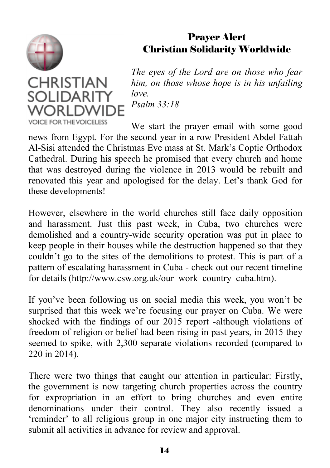

#### Prayer Alert Christian Solidarity Worldwide

**CHRISTIAN SOLIDARITY** WORI DWII **VOICE FOR THE VOICELESS** 

*The eyes of the Lord are on those who fear him, on those whose hope is in his unfailing love. Psalm 33:18*

We start the prayer email with some good news from Egypt. For the second year in a row President Abdel Fattah Al-Sisi attended the Christmas Eve mass at St. Mark's Coptic Orthodox Cathedral. During his speech he promised that every church and home that was destroyed during the violence in 2013 would be rebuilt and renovated this year and apologised for the delay. Let's thank God for these developments!

However, elsewhere in the world churches still face daily opposition and harassment. Just this past week, in Cuba, two churches were demolished and a country-wide security operation was put in place to keep people in their houses while the destruction happened so that they couldn't go to the sites of the demolitions to protest. This is part of a pattern of escalating harassment in Cuba - check out our recent timeline for details (http://www.csw.org.uk/our\_work\_country\_cuba.htm).

If you've been following us on social media this week, you won't be surprised that this week we're focusing our prayer on Cuba. We were shocked with the findings of our 2015 report -although violations of freedom of religion or belief had been rising in past years, in 2015 they seemed to spike, with 2,300 separate violations recorded (compared to 220 in 2014).

There were two things that caught our attention in particular: Firstly, the government is now targeting church properties across the country for expropriation in an effort to bring churches and even entire denominations under their control. They also recently issued a 'reminder' to all religious group in one major city instructing them to submit all activities in advance for review and approval.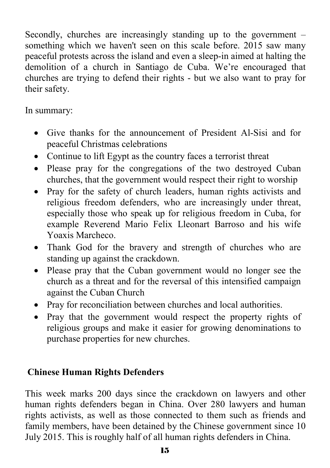Secondly, churches are increasingly standing up to the government – something which we haven't seen on this scale before. 2015 saw many peaceful protests across the island and even a sleep-in aimed at halting the demolition of a church in Santiago de Cuba. We're encouraged that churches are trying to defend their rights - but we also want to pray for their safety.

In summary:

- Give thanks for the announcement of President Al-Sisi and for peaceful Christmas celebrations
- Continue to lift Egypt as the country faces a terrorist threat
- Please pray for the congregations of the two destroyed Cuban churches, that the government would respect their right to worship
- Pray for the safety of church leaders, human rights activists and religious freedom defenders, who are increasingly under threat, especially those who speak up for religious freedom in Cuba, for example Reverend Mario Felix Lleonart Barroso and his wife Yoaxis Marcheco.
- Thank God for the bravery and strength of churches who are standing up against the crackdown.
- Please pray that the Cuban government would no longer see the church as a threat and for the reversal of this intensified campaign against the Cuban Church
- Pray for reconciliation between churches and local authorities.
- Pray that the government would respect the property rights of religious groups and make it easier for growing denominations to purchase properties for new churches.

#### **Chinese Human Rights Defenders**

This week marks 200 days since the crackdown on lawyers and other human rights defenders began in China. Over 280 lawyers and human rights activists, as well as those connected to them such as friends and family members, have been detained by the Chinese government since 10 July 2015. This is roughly half of all human rights defenders in China.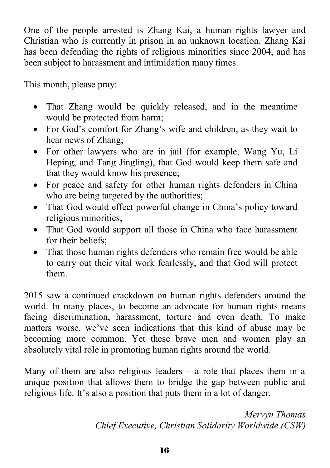One of the people arrested is Zhang Kai, a human rights lawyer and Christian who is currently in prison in an unknown location. Zhang Kai has been defending the rights of religious minorities since 2004, and has been subject to harassment and intimidation many times.

This month, please pray:

- That Zhang would be quickly released, and in the meantime would be protected from harm;
- For God's comfort for Zhang's wife and children, as they wait to hear news of Zhang;
- For other lawyers who are in jail (for example, Wang Yu, Li Heping, and Tang Jingling), that God would keep them safe and that they would know his presence;
- For peace and safety for other human rights defenders in China who are being targeted by the authorities;
- That God would effect powerful change in China's policy toward religious minorities;
- That God would support all those in China who face harassment for their beliefs;
- That those human rights defenders who remain free would be able to carry out their vital work fearlessly, and that God will protect them.

2015 saw a continued crackdown on human rights defenders around the world. In many places, to become an advocate for human rights means facing discrimination, harassment, torture and even death. To make matters worse, we've seen indications that this kind of abuse may be becoming more common. Yet these brave men and women play an absolutely vital role in promoting human rights around the world.

Many of them are also religious leaders  $-$  a role that places them in a unique position that allows them to bridge the gap between public and religious life. It's also a position that puts them in a lot of danger.

> *Mervyn Thomas Chief Executive, Christian Solidarity Worldwide (CSW)*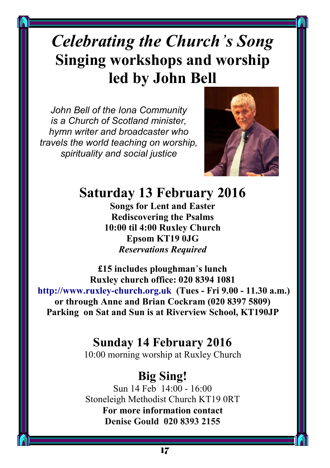# *Celebrating the Church's Song*  **Singing workshops and worship led by John Bell**

*John Bell of the Iona Community is a Church of Scotland minister, hymn writer and broadcaster who travels the world teaching on worship, spirituality and social justice*



## **Saturday 13 February 2016**

**Songs for Lent and Easter Rediscovering the Psalms 10:00 til 4:00 Ruxley Church Epsom KT19 0JG** *Reservations Required*

**£15 includes ploughman**'**s lunch Ruxley church office: 020 8394 1081 http://www.ruxley-church.org.uk (Tues - Fri 9.00 - 11.30 a.m.) or through Anne and Brian Cockram (020 8397 5809) Parking on Sat and Sun is at Riverview School, KT190JP**

### **Sunday 14 February 2016**

10:00 morning worship at Ruxley Church

### **Big Sing!**

Sun 14 Feb 14:00 - 16:00 Stoneleigh Methodist Church KT19 0RT **For more information contact Denise Gould 020 8393 2155**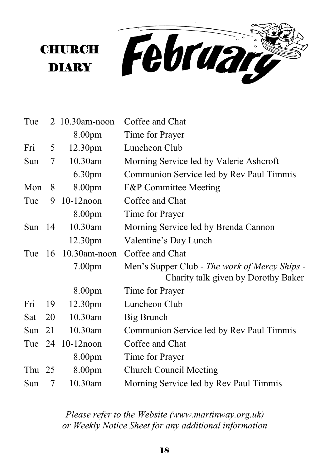

| Tue      |     | $2\;10.30$ am-noon | Coffee and Chat                                                                      |
|----------|-----|--------------------|--------------------------------------------------------------------------------------|
|          |     | 8.00pm             | Time for Prayer                                                                      |
| Fri      | 5   | 12.30pm            | Luncheon Club                                                                        |
| Sun      | 7   | 10.30am            | Morning Service led by Valerie Ashcroft                                              |
|          |     | 6.30 <sub>pm</sub> | Communion Service led by Rev Paul Timmis                                             |
| Mon      | 8   | 8.00 <sub>pm</sub> | <b>F&amp;P</b> Committee Meeting                                                     |
| Tue      | 9   | $10-12$ noon       | Coffee and Chat                                                                      |
|          |     | 8.00 <sub>pm</sub> | Time for Prayer                                                                      |
| Sun $14$ |     | 10.30am            | Morning Service led by Brenda Cannon                                                 |
|          |     | 12.30pm            | Valentine's Day Lunch                                                                |
| Tue $16$ |     | $10.30$ am-noon    | Coffee and Chat                                                                      |
|          |     | 7.00 <sub>pm</sub> | Men's Supper Club - The work of Mercy Ships -<br>Charity talk given by Dorothy Baker |
|          |     | 8.00 <sub>pm</sub> | Time for Prayer                                                                      |
| Fri      | -19 | 12.30pm            | Luncheon Club                                                                        |
| Sat      | 20  | 10.30am            | Big Brunch                                                                           |
| Sun      | 21  | 10.30am            | Communion Service led by Rev Paul Timmis                                             |
|          |     | Tue 24 10-12 noon  | Coffee and Chat                                                                      |
|          |     | 8.00 <sub>pm</sub> | Time for Prayer                                                                      |
| Thu $25$ |     | 8.00pm             | <b>Church Council Meeting</b>                                                        |
| Sun      | 7   | 10.30am            | Morning Service led by Rev Paul Timmis                                               |

**CHURCH** 

DIARY

*Please refer to the Website (www.martinway.org.uk) or Weekly Notice Sheet for any additional information*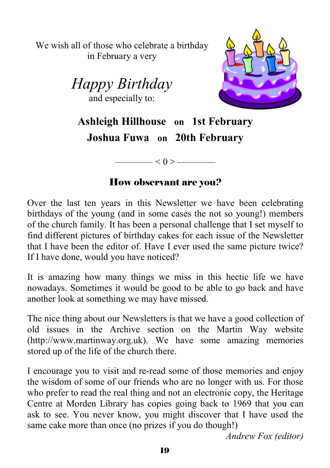We wish all of those who celebrate a birthday in February a very





**Ashleigh Hillhouse on 1st February Joshua Fuwa on 20th February**

#### How observant are you?

 $\longrightarrow$  < 0 >  $\longrightarrow$ 

Over the last ten years in this Newsletter we have been celebrating birthdays of the young (and in some cases the not so young!) members of the church family. It has been a personal challenge that I set myself to find different pictures of birthday cakes for each issue of the Newsletter that I have been the editor of. Have I ever used the same picture twice? If I have done, would you have noticed?

It is amazing how many things we miss in this hectic life we have nowadays. Sometimes it would be good to be able to go back and have another look at something we may have missed.

The nice thing about our Newsletters is that we have a good collection of old issues in the Archive section on the Martin Way website (http://www.martinway.org.uk). We have some amazing memories stored up of the life of the church there.

I encourage you to visit and re-read some of those memories and enjoy the wisdom of some of our friends who are no longer with us. For those who prefer to read the real thing and not an electronic copy, the Heritage Centre at Morden Library has copies going back to 1969 that you can ask to see. You never know, you might discover that I have used the same cake more than once (no prizes if you do though!)

*Andrew Fox (editor)*